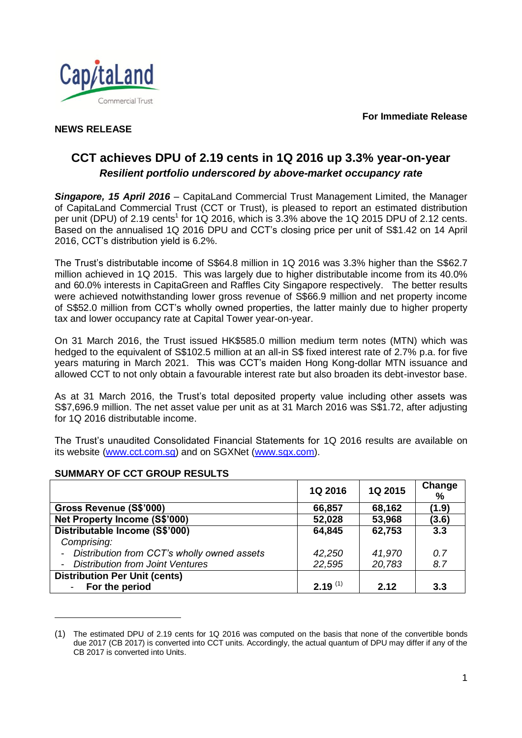**For Immediate Release**



### **NEWS RELEASE**

# **CCT achieves DPU of 2.19 cents in 1Q 2016 up 3.3% year-on-year** *Resilient portfolio underscored by above-market occupancy rate*

*Singapore, 15 April 2016* – CapitaLand Commercial Trust Management Limited, the Manager of CapitaLand Commercial Trust (CCT or Trust), is pleased to report an estimated distribution per unit (DPU) of 2.19 cents<sup>1</sup> for 1Q 2016, which is 3.3% above the 1Q 2015 DPU of 2.12 cents. Based on the annualised 1Q 2016 DPU and CCT's closing price per unit of S\$1.42 on 14 April 2016, CCT's distribution yield is 6.2%.

The Trust's distributable income of S\$64.8 million in 1Q 2016 was 3.3% higher than the S\$62.7 million achieved in 1Q 2015. This was largely due to higher distributable income from its 40.0% and 60.0% interests in CapitaGreen and Raffles City Singapore respectively. The better results were achieved notwithstanding lower gross revenue of S\$66.9 million and net property income of S\$52.0 million from CCT's wholly owned properties, the latter mainly due to higher property tax and lower occupancy rate at Capital Tower year-on-year.

On 31 March 2016, the Trust issued HK\$585.0 million medium term notes (MTN) which was hedged to the equivalent of S\$102.5 million at an all-in S\$ fixed interest rate of 2.7% p.a. for five years maturing in March 2021. This was CCT's maiden Hong Kong-dollar MTN issuance and allowed CCT to not only obtain a favourable interest rate but also broaden its debt-investor base.

As at 31 March 2016, the Trust's total deposited property value including other assets was S\$7,696.9 million. The net asset value per unit as at 31 March 2016 was S\$1.72, after adjusting for 1Q 2016 distributable income.

The Trust's unaudited Consolidated Financial Statements for 1Q 2016 results are available on its website [\(www.cct.com.sg\)](http://www.cct.com.sg/) and on SGXNet [\(www.sgx.com\)](http://www.sgx.com/).

|                                                                         | 1Q 2016      | 1Q 2015 | Change<br>% |
|-------------------------------------------------------------------------|--------------|---------|-------------|
| Gross Revenue (S\$'000)                                                 | 66,857       | 68,162  | (1.9)       |
| Net Property Income (S\$'000)                                           | 52,028       | 53,968  | (3.6)       |
| Distributable Income (S\$'000)                                          | 64,845       | 62,753  | 3.3         |
| Comprising:                                                             |              |         |             |
| Distribution from CCT's wholly owned assets<br>$\overline{\phantom{a}}$ | 42,250       | 41,970  | 0.7         |
| <b>Distribution from Joint Ventures</b><br>$\sim$                       | 22,595       | 20,783  | 8.7         |
| <b>Distribution Per Unit (cents)</b>                                    |              |         |             |
| - For the period                                                        | $2.19^{(1)}$ | 2.12    | 3.3         |

## **SUMMARY OF CCT GROUP RESULTS**

l

<sup>(1)</sup> The estimated DPU of 2.19 cents for 1Q 2016 was computed on the basis that none of the convertible bonds due 2017 (CB 2017) is converted into CCT units. Accordingly, the actual quantum of DPU may differ if any of the CB 2017 is converted into Units.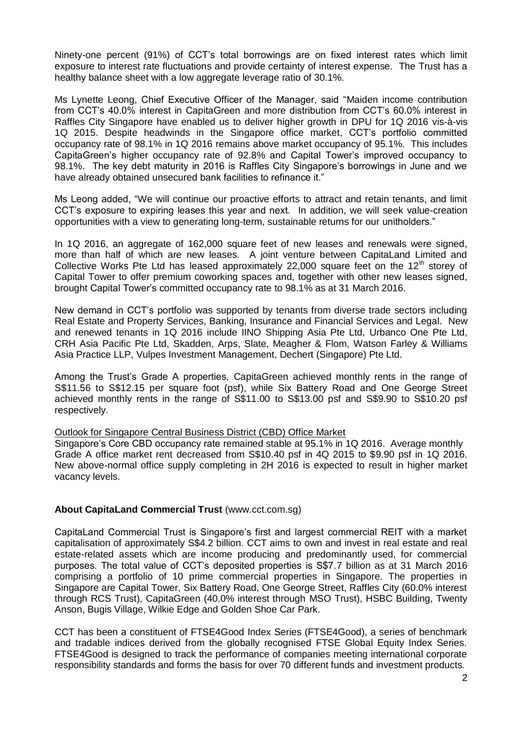Ninety-one percent (91%) of CCT's total borrowings are on fixed interest rates which limit exposure to interest rate fluctuations and provide certainty of interest expense. The Trust has a healthy balance sheet with a low aggregate leverage ratio of 30.1%.

Ms Lynette Leong, Chief Executive Officer of the Manager, said "Maiden income contribution from CCT's 40.0% interest in CapitaGreen and more distribution from CCT's 60.0% interest in Raffles City Singapore have enabled us to deliver higher growth in DPU for 1Q 2016 vis-à-vis 1Q 2015. Despite headwinds in the Singapore office market, CCT's portfolio committed occupancy rate of 98.1% in 1Q 2016 remains above market occupancy of 95.1%. This includes CapitaGreen's higher occupancy rate of 92.8% and Capital Tower's improved occupancy to 98.1%. The key debt maturity in 2016 is Raffles City Singapore's borrowings in June and we have already obtained unsecured bank facilities to refinance it."

Ms Leong added, "We will continue our proactive efforts to attract and retain tenants, and limit CCT's exposure to expiring leases this year and next. In addition, we will seek value-creation opportunities with a view to generating long-term, sustainable returns for our unitholders."

In 1Q 2016, an aggregate of 162,000 square feet of new leases and renewals were signed, more than half of which are new leases. A joint venture between CapitaLand Limited and Collective Works Pte Ltd has leased approximately 22,000 square feet on the  $12<sup>th</sup>$  storey of Capital Tower to offer premium coworking spaces and, together with other new leases signed, brought Capital Tower's committed occupancy rate to 98.1% as at 31 March 2016.

New demand in CCT's portfolio was supported by tenants from diverse trade sectors including Real Estate and Property Services, Banking, Insurance and Financial Services and Legal. New and renewed tenants in 1Q 2016 include IINO Shipping Asia Pte Ltd, Urbanco One Pte Ltd, CRH Asia Pacific Pte Ltd, Skadden, Arps, Slate, Meagher & Flom, Watson Farley & Williams Asia Practice LLP, Vulpes Investment Management, Dechert (Singapore) Pte Ltd.

Among the Trust's Grade A properties, CapitaGreen achieved monthly rents in the range of S\$11.56 to S\$12.15 per square foot (psf), while Six Battery Road and One George Street achieved monthly rents in the range of S\$11.00 to S\$13.00 psf and S\$9.90 to S\$10.20 psf respectively.

#### Outlook for Singapore Central Business District (CBD) Office Market

Singapore's Core CBD occupancy rate remained stable at 95.1% in 1Q 2016. Average monthly Grade A office market rent decreased from S\$10.40 psf in 4Q 2015 to \$9.90 psf in 1Q 2016. New above-normal office supply completing in 2H 2016 is expected to result in higher market vacancy levels.

### **About CapitaLand Commercial Trust** (www.cct.com.sg)

CapitaLand Commercial Trust is Singapore's first and largest commercial REIT with a market capitalisation of approximately S\$4.2 billion. CCT aims to own and invest in real estate and real estate-related assets which are income producing and predominantly used, for commercial purposes. The total value of CCT's deposited properties is S\$7.7 billion as at 31 March 2016 comprising a portfolio of 10 prime commercial properties in Singapore. The properties in Singapore are Capital Tower, Six Battery Road, One George Street, Raffles City (60.0% interest through RCS Trust), CapitaGreen (40.0% interest through MSO Trust), HSBC Building, Twenty Anson, Bugis Village, Wilkie Edge and Golden Shoe Car Park.

CCT has been a constituent of FTSE4Good Index Series (FTSE4Good), a series of benchmark and tradable indices derived from the globally recognised FTSE Global Equity Index Series. FTSE4Good is designed to track the performance of companies meeting international corporate responsibility standards and forms the basis for over 70 different funds and investment products.